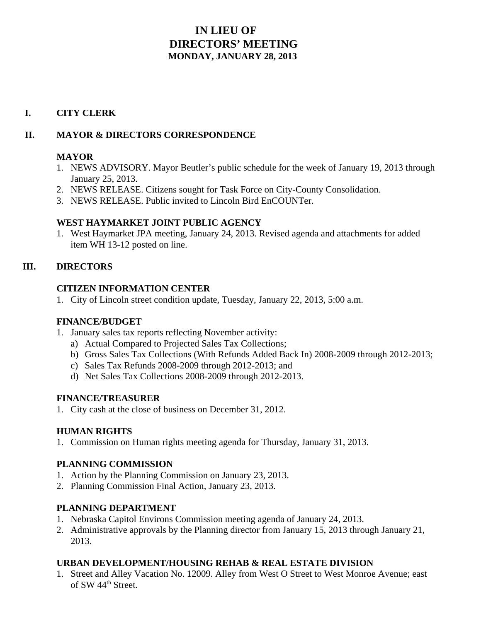# **IN LIEU OF DIRECTORS' MEETING MONDAY, JANUARY 28, 2013**

# **I. CITY CLERK**

## **II. MAYOR & DIRECTORS CORRESPONDENCE**

#### **MAYOR**

- 1. NEWS ADVISORY. Mayor Beutler's public schedule for the week of January 19, 2013 through January 25, 2013.
- 2. NEWS RELEASE. Citizens sought for Task Force on City-County Consolidation.
- 3. NEWS RELEASE. Public invited to Lincoln Bird EnCOUNTer.

## **WEST HAYMARKET JOINT PUBLIC AGENCY**

1. West Haymarket JPA meeting, January 24, 2013. Revised agenda and attachments for added item WH 13-12 posted on line.

# **III. DIRECTORS**

## **CITIZEN INFORMATION CENTER**

1. City of Lincoln street condition update, Tuesday, January 22, 2013, 5:00 a.m.

#### **FINANCE/BUDGET**

- 1. January sales tax reports reflecting November activity:
	- a) Actual Compared to Projected Sales Tax Collections;
	- b) Gross Sales Tax Collections (With Refunds Added Back In) 2008-2009 through 2012-2013;
	- c) Sales Tax Refunds 2008-2009 through 2012-2013; and
	- d) Net Sales Tax Collections 2008-2009 through 2012-2013.

#### **FINANCE/TREASURER**

1. City cash at the close of business on December 31, 2012.

#### **HUMAN RIGHTS**

1. Commission on Human rights meeting agenda for Thursday, January 31, 2013.

# **PLANNING COMMISSION**

- 1. Action by the Planning Commission on January 23, 2013.
- 2. Planning Commission Final Action, January 23, 2013.

# **PLANNING DEPARTMENT**

- 1. Nebraska Capitol Environs Commission meeting agenda of January 24, 2013.
- 2. Administrative approvals by the Planning director from January 15, 2013 through January 21, 2013.

# **URBAN DEVELOPMENT/HOUSING REHAB & REAL ESTATE DIVISION**

1. Street and Alley Vacation No. 12009. Alley from West O Street to West Monroe Avenue; east of SW 44<sup>th</sup> Street.